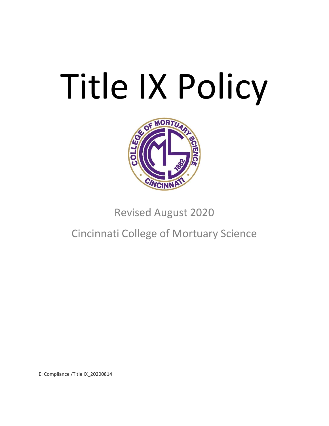# Title IX Policy



Revised August 2020

Cincinnati College of Mortuary Science

E: Compliance /Title IX\_20200814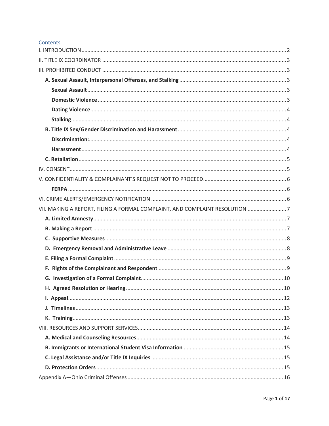#### Contents

| VII. MAKING A REPORT, FILING A FORMAL COMPLAINT, AND COMPLAINT RESOLUTION 7 |  |
|-----------------------------------------------------------------------------|--|
|                                                                             |  |
|                                                                             |  |
|                                                                             |  |
|                                                                             |  |
|                                                                             |  |
|                                                                             |  |
|                                                                             |  |
|                                                                             |  |
|                                                                             |  |
|                                                                             |  |
|                                                                             |  |
|                                                                             |  |
|                                                                             |  |
|                                                                             |  |
|                                                                             |  |
|                                                                             |  |
|                                                                             |  |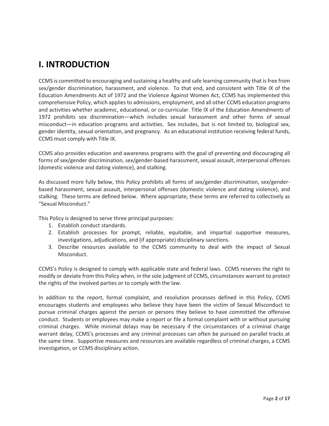## <span id="page-2-0"></span>**I. INTRODUCTION**

CCMS is committed to encouraging and sustaining a healthy and safe learning community that is free from sex/gender discrimination, harassment, and violence. To that end, and consistent with Title IX of the Education Amendments Act of 1972 and the Violence Against Women Act, CCMS has implemented this comprehensive Policy, which applies to admissions, employment, and all other CCMS education programs and activities whether academic, educational, or co-curricular. Title IX of the Education Amendments of 1972 prohibits sex discrimination—which includes sexual harassment and other forms of sexual misconduct—in education programs and activities. Sex includes, but is not limited to, biological sex, gender identity, sexual orientation, and pregnancy. As an educational institution receiving federal funds, CCMS must comply with Title IX.

CCMS also provides education and awareness programs with the goal of preventing and discouraging all forms of sex/gender discrimination, sex/gender-based harassment, sexual assault, interpersonal offenses (domestic violence and dating violence), and stalking.

As discussed more fully below, this Policy prohibits all forms of sex/gender discrimination, sex/genderbased harassment, sexual assault, interpersonal offenses (domestic violence and dating violence), and stalking. These terms are defined below. Where appropriate, these terms are referred to collectively as "Sexual Misconduct."

This Policy is designed to serve three principal purposes:

- 1. Establish conduct standards.
- 2. Establish processes for prompt, reliable, equitable, and impartial supportive measures, investigations, adjudications, and (if appropriate) disciplinary sanctions.
- 3. Describe resources available to the CCMS community to deal with the impact of Sexual Misconduct.

CCMS's Policy is designed to comply with applicable state and federal laws. CCMS reserves the right to modify or deviate from this Policy when, in the sole judgment of CCMS, circumstances warrant to protect the rights of the involved parties or to comply with the law.

In addition to the report, formal complaint, and resolution processes defined in this Policy, CCMS encourages students and employees who believe they have been the victim of Sexual Misconduct to pursue criminal charges against the person or persons they believe to have committed the offensive conduct. Students or employees may make a report or file a formal complaint with or without pursuing criminal charges. While minimal delays may be necessary if the circumstances of a criminal charge warrant delay, CCMS's processes and any criminal processes can often be pursued on parallel tracks at the same time. Supportive measures and resources are available regardless of criminal charges, a CCMS investigation, or CCMS disciplinary action.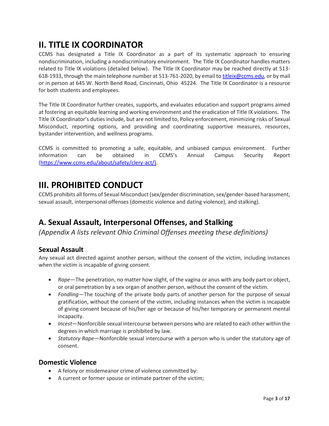## <span id="page-3-0"></span>**II. TITLE IX COORDINATOR**

CCMS has designated a Title IX Coordinator as a part of its systematic approach to ensuring nondiscrimination, including a nondiscriminatory environment. The Title IX Coordinator handles matters related to Title IX violations (detailed below). The Title IX Coordinator may be reached directly at 513 618-1933, through the main telephone number at 513-761-2020, by email to [titleix@ccms.edu,](mailto:titleix@ccms.edu) or by mail or in person at 645 W. North Bend Road, Cincinnati, Ohio 45224. The Title IX Coordinator is a resource for both students and employees.

The Title IX Coordinator further creates, supports, and evaluates education and support programs aimed at fostering an equitable learning and working environment and the eradication of Title IX violations. The Title IX Coordinator's duties include, but are not limited to, Policy enforcement, minimizing risks of Sexual Misconduct, reporting options, and providing and coordinating supportive measures, resources, bystander intervention, and wellness programs.

CCMS is committed to promoting a safe, equitable, and unbiased campus environment. Further information can be obtained in CCMS's Annual Campus Security Report [\(https://www.ccms.edu/about/safety/clery-act/\)](https://www.ccms.edu/about/safety/clery-act/).

## <span id="page-3-1"></span>**III. PROHIBITED CONDUCT**

CCMS prohibits all forms of Sexual Misconduct (sex/gender discrimination, sex/gender-based harassment, sexual assault, interpersonal offenses (domestic violence and dating violence), and stalking).

## <span id="page-3-2"></span>**A. Sexual Assault, Interpersonal Offenses, and Stalking**

*(Appendix A lists relevant Ohio Criminal Offenses meeting these definitions)* 

#### <span id="page-3-3"></span>**Sexual Assault**

Any sexual act directed against another person, without the consent of the victim, including instances when the victim is incapable of giving consent.

- *Rape*—The penetration, no matter how slight, of the vagina or anus with any body part or object, or oral penetration by a sex organ of another person, without the consent of the victim.
- *Fondling*—The touching of the private body parts of another person for the purpose of sexual gratification, without the consent of the victim, including instances when the victim is incapable of giving consent because of his/her age or because of his/her temporary or permanent mental incapacity.
- *Incest*—Nonforcible sexual intercourse between persons who are related to each other within the degrees in which marriage is prohibited by law.
- *Statutory Rape*—Nonforcible sexual intercourse with a person who is under the statutory age of consent.

#### <span id="page-3-4"></span>**Domestic Violence**

- A felony or misdemeanor crime of violence committed by:
- A current or former spouse or intimate partner of the victim;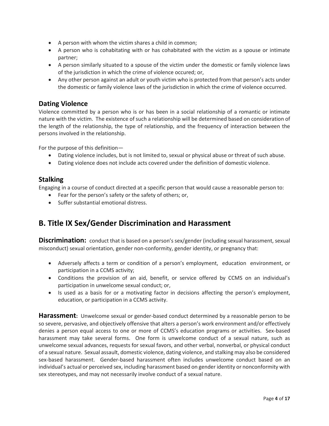- A person with whom the victim shares a child in common;
- A person who is cohabitating with or has cohabitated with the victim as a spouse or intimate partner;
- A person similarly situated to a spouse of the victim under the domestic or family violence laws of the jurisdiction in which the crime of violence occured; or,
- Any other person against an adult or youth victim who is protected from that person's acts under the domestic or family violence laws of the jurisdiction in which the crime of violence occurred.

#### <span id="page-4-0"></span>**Dating Violence**

Violence committed by a person who is or has been in a social relationship of a romantic or intimate nature with the victim. The existence of such a relationship will be determined based on consideration of the length of the relationship, the type of relationship, and the frequency of interaction between the persons involved in the relationship.

For the purpose of this definition—

- Dating violence includes, but is not limited to, sexual or physical abuse or threat of such abuse.
- Dating violence does not include acts covered under the definition of domestic violence.

#### <span id="page-4-1"></span>**Stalking**

Engaging in a course of conduct directed at a specific person that would cause a reasonable person to:

- Fear for the person's safety or the safety of others; or,
- Suffer substantial emotional distress.

## <span id="page-4-2"></span>**B. Title IX Sex/Gender Discrimination and Harassment**

<span id="page-4-3"></span>**Discrimination:** conduct that is based on a person's sex/gender (including sexual harassment, sexual misconduct) sexual orientation, gender non-conformity, gender identity, or pregnancy that:

- Adversely affects a term or condition of a person's employment, education environment, or participation in a CCMS activity;
- Conditions the provision of an aid, benefit, or service offered by CCMS on an individual's participation in unwelcome sexual conduct; or,
- Is used as a basis for or a motivating factor in decisions affecting the person's employment, education, or participation in a CCMS activity.

<span id="page-4-4"></span>**Harassment:** Unwelcome sexual or gender-based conduct determined by a reasonable person to be so severe, pervasive, and objectively offensive that alters a person's work environment and/or effectively denies a person equal access to one or more of CCMS's education programs or activities. Sex-based harassment may take several forms. One form is unwelcome conduct of a sexual nature, such as unwelcome sexual advances, requests for sexual favors, and other verbal, nonverbal, or physical conduct of a sexual nature. Sexual assault, domestic violence, dating violence, and stalking may also be considered sex-based harassment. Gender-based harassment often includes unwelcome conduct based on an individual's actual or perceived sex, including harassment based on gender identity or nonconformity with sex stereotypes, and may not necessarily involve conduct of a sexual nature.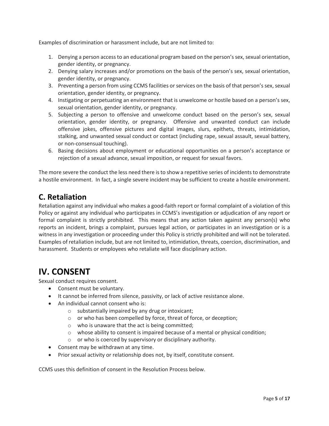Examples of discrimination or harassment include, but are not limited to:

- 1. Denying a person access to an educational program based on the person's sex, sexual orientation, gender identity, or pregnancy.
- 2. Denying salary increases and/or promotions on the basis of the person's sex, sexual orientation, gender identity, or pregnancy.
- 3. Preventing a person from using CCMS facilities or services on the basis of that person's sex, sexual orientation, gender identity, or pregnancy.
- 4. Instigating or perpetuating an environment that is unwelcome or hostile based on a person's sex, sexual orientation, gender identity, or pregnancy.
- 5. Subjecting a person to offensive and unwelcome conduct based on the person's sex, sexual orientation, gender identity, or pregnancy. Offensive and unwanted conduct can include offensive jokes, offensive pictures and digital images, slurs, epithets, threats, intimidation, stalking, and unwanted sexual conduct or contact (including rape, sexual assault, sexual battery, or non-consensual touching).
- 6. Basing decisions about employment or educational opportunities on a person's acceptance or rejection of a sexual advance, sexual imposition, or request for sexual favors.

The more severe the conduct the less need there is to show a repetitive series of incidents to demonstrate a hostile environment. In fact, a single severe incident may be sufficient to create a hostile environment.

## <span id="page-5-0"></span>**C. Retaliation**

Retaliation against any individual who makes a good-faith report or formal complaint of a violation of this Policy or against any individual who participates in CCMS's investigation or adjudication of any report or formal complaint is strictly prohibited. This means that any action taken against any person(s) who reports an incident, brings a complaint, pursues legal action, or participates in an investigation or is a witness in any investigation or proceeding under this Policy is strictly prohibited and will not be tolerated. Examples of retaliation include, but are not limited to, intimidation, threats, coercion, discrimination, and harassment. Students or employees who retaliate will face disciplinary action.

## <span id="page-5-1"></span>**IV. CONSENT**

Sexual conduct requires consent.

- Consent must be voluntary.
- It cannot be inferred from silence, passivity, or lack of active resistance alone.
- An individual cannot consent who is:
	- o substantially impaired by any drug or intoxicant;
	- o or who has been compelled by force, threat of force, or deception;
	- o who is unaware that the act is being committed;
	- $\circ$  whose ability to consent is impaired because of a mental or physical condition;
	- o or who is coerced by supervisory or disciplinary authority.
- Consent may be withdrawn at any time.
- Prior sexual activity or relationship does not, by itself, constitute consent.

CCMS uses this definition of consent in the Resolution Process below.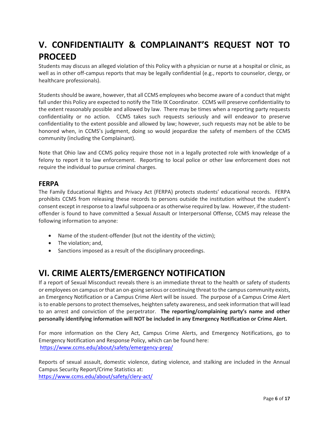## <span id="page-6-0"></span>**V. CONFIDENTIALITY & COMPLAINANT'S REQUEST NOT TO PROCEED**

Students may discuss an alleged violation of this Policy with a physician or nurse at a hospital or clinic, as well as in other off-campus reports that may be legally confidential (e.g., reports to counselor, clergy, or healthcare professionals).

Students should be aware, however, that all CCMS employees who become aware of a conduct that might fall under this Policy are expected to notify the Title IX Coordinator. CCMS will preserve confidentiality to the extent reasonably possible and allowed by law. There may be times when a reporting party requests confidentiality or no action. CCMS takes such requests seriously and will endeavor to preserve confidentiality to the extent possible and allowed by law; however, such requests may not be able to be honored when, in CCMS's judgment, doing so would jeopardize the safety of members of the CCMS community (including the Complainant).

Note that Ohio law and CCMS policy require those not in a legally protected role with knowledge of a felony to report it to law enforcement. Reporting to local police or other law enforcement does not require the individual to pursue criminal charges.

#### <span id="page-6-1"></span>**FERPA**

The Family Educational Rights and Privacy Act (FERPA) protects students' educational records. FERPA prohibits CCMS from releasing these records to persons outside the institution without the student's consent except in response to a lawful subpoena or as otherwise required by law. However, if the studentoffender is found to have committed a Sexual Assault or Interpersonal Offense, CCMS may release the following information to anyone:

- Name of the student-offender (but not the identity of the victim);
- The violation; and,
- <span id="page-6-2"></span>• Sanctions imposed as a result of the disciplinary proceedings.

## **VI. CRIME ALERTS/EMERGENCY NOTIFICATION**

If a report of Sexual Misconduct reveals there is an immediate threat to the health or safety of students or employees on campus or that an on-going serious or continuing threat to the campus community exists, an Emergency Notification or a Campus Crime Alert will be issued. The purpose of a Campus Crime Alert is to enable persons to protect themselves, heighten safety awareness, and seek information that will lead to an arrest and conviction of the perpetrator. **The reporting/complaining party's name and other personally identifying information will NOT be included in any Emergency Notification or Crime Alert.**

For more information on the Clery Act, Campus Crime Alerts, and Emergency Notifications, go to Emergency Notification and Response Policy, which can be found here: <https://www.ccms.edu/about/safety/emergency-prep/>

Reports of sexual assault, domestic violence, dating violence, and stalking are included in the Annual Campus Security Report/Crime Statistics at: <https://www.ccms.edu/about/safety/clery-act/>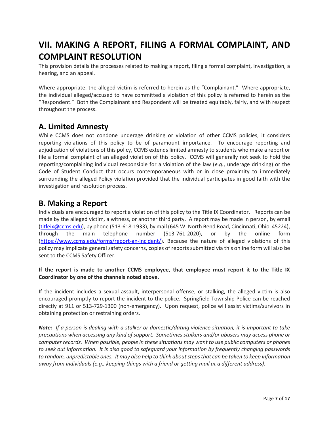## <span id="page-7-0"></span>**VII. MAKING A REPORT, FILING A FORMAL COMPLAINT, AND COMPLAINT RESOLUTION**

This provision details the processes related to making a report, filing a formal complaint, investigation, a hearing, and an appeal.

Where appropriate, the alleged victim is referred to herein as the "Complainant." Where appropriate, the individual alleged/accused to have committed a violation of this policy is referred to herein as the "Respondent." Both the Complainant and Respondent will be treated equitably, fairly, and with respect throughout the process.

## <span id="page-7-1"></span>**A. Limited Amnesty**

While CCMS does not condone underage drinking or violation of other CCMS policies, it considers reporting violations of this policy to be of paramount importance. To encourage reporting and adjudication of violations of this policy, CCMS extends limited amnesty to students who make a report or file a formal complaint of an alleged violation of this policy. CCMS will generally not seek to hold the reporting/complaining individual responsible for a violation of the law (*e.g.*, underage drinking) or the Code of Student Conduct that occurs contemporaneous with or in close proximity to immediately surrounding the alleged Policy violation provided that the individual participates in good faith with the investigation and resolution process.

## <span id="page-7-2"></span>**B. Making a Report**

Individuals are encouraged to report a violation of this policy to the Title IX Coordinator. Reports can be made by the alleged victim, a witness, or another third party. A report may be made in person, by email [\(titleix@ccms.edu\)](mailto:titleix@ccms.edu), by phone (513-618-1933), by mail (645 W. North Bend Road, Cincinnati, Ohio 45224), through the main telephone number (513-761-2020), or by the online form [\(https://www.ccms.edu/forms/report-an-incident/\)](https://www.ccms.edu/forms/report-an-incident/). Because the nature of alleged violations of this policy may implicate general safety concerns, copies of reports submitted via this online form will also be sent to the CCMS Safety Officer.

#### **If the report is made to another CCMS employee, that employee must report it to the Title IX Coordinator by one of the channels noted above.**

If the incident includes a sexual assault, interpersonal offense, or stalking, the alleged victim is also encouraged promptly to report the incident to the police. Springfield Township Police can be reached directly at 911 or 513-729-1300 (non-emergency). Upon request, police will assist victims/survivors in obtaining protection or restraining orders.

*Note: If a person is dealing with a stalker or domestic/dating violence situation, it is important to take precautions when accessing any kind of support. Sometimes stalkers and/or abusers may access phone or computer records. When possible, people in these situations may want to use public computers or phones to seek out information. It is also good to safeguard your information by frequently changing passwords to random, unpredictable ones. It may also help to think about steps that can be taken to keep information away from individuals (e.g., keeping things with a friend or getting mail at a different address).*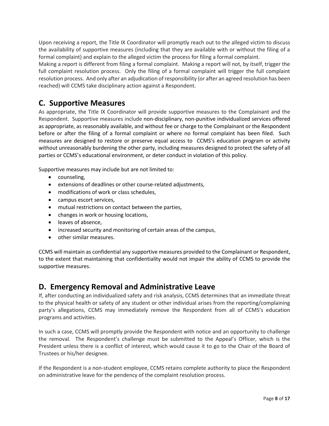Upon receiving a report, the Title IX Coordinator will promptly reach out to the alleged victim to discuss the availability of supportive measures (including that they are available with or without the filing of a formal complaint) and explain to the alleged victim the process for filing a formal complaint.

Making a report is different from filing a formal complaint. Making a report will not, by itself, trigger the full complaint resolution process. Only the filing of a formal complaint will trigger the full complaint resolution process. And only after an adjudication of responsibility (or after an agreed resolution has been reached) will CCMS take disciplinary action against a Respondent.

## <span id="page-8-0"></span>**C. Supportive Measures**

As appropriate, the Title IX Coordinator will provide supportive measures to the Complainant and the Respondent. Supportive measures include non-disciplinary, non-punitive individualized services offered as appropriate, as reasonably available, and without fee or charge to the Complainant or the Respondent before or after the filing of a formal complaint or where no formal complaint has been filed. Such measures are designed to restore or preserve equal access to CCMS's education program or activity without unreasonably burdening the other party, including measures designed to protect the safety of all parties or CCMS's educational environment, or deter conduct in violation of this policy.

Supportive measures may include but are not limited to:

- counseling,
- extensions of deadlines or other course-related adjustments,
- modifications of work or class schedules,
- campus escort services,
- mutual restrictions on contact between the parties,
- changes in work or housing locations,
- leaves of absence,
- increased security and monitoring of certain areas of the campus,
- other similar measures.

CCMS will maintain as confidential any supportive measures provided to the Complainant or Respondent, to the extent that maintaining that confidentiality would not impair the ability of CCMS to provide the supportive measures.

## <span id="page-8-1"></span>**D. Emergency Removal and Administrative Leave**

If, after conducting an individualized safety and risk analysis, CCMS determines that an immediate threat to the physical health or safety of any student or other individual arises from the reporting/complaining party's allegations, CCMS may immediately remove the Respondent from all of CCMS's education programs and activities.

In such a case, CCMS will promptly provide the Respondent with notice and an opportunity to challenge the removal. The Respondent's challenge must be submitted to the Appeal's Officer, which is the President unless there is a conflict of interest, which would cause it to go to the Chair of the Board of Trustees or his/her designee.

If the Respondent is a non-student employee, CCMS retains complete authority to place the Respondent on administrative leave for the pendency of the complaint resolution process.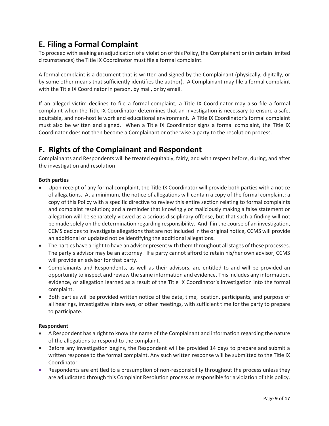## <span id="page-9-0"></span>**E. Filing a Formal Complaint**

To proceed with seeking an adjudication of a violation of this Policy, the Complainant or (in certain limited circumstances) the Title IX Coordinator must file a formal complaint.

A formal complaint is a document that is written and signed by the Complainant (physically, digitally, or by some other means that sufficiently identifies the author).A Complainant may file a formal complaint with the Title IX Coordinator in person, by mail, or by email.

If an alleged victim declines to file a formal complaint, a Title IX Coordinator may also file a formal complaint when the Title IX Coordinator determines that an investigation is necessary to ensure a safe, equitable, and non-hostile work and educational environment. A Title IX Coordinator's formal complaint must also be written and signed. When a Title IX Coordinator signs a formal complaint, the Title IX Coordinator does not then become a Complainant or otherwise a party to the resolution process.

## <span id="page-9-1"></span>**F. Rights of the Complainant and Respondent**

Complainants and Respondents will be treated equitably, fairly, and with respect before, during, and after the investigation and resolution

#### **Both parties**

- Upon receipt of any formal complaint, the Title IX Coordinator will provide both parties with a notice of allegations. At a minimum, the notice of allegations will contain a copy of the formal complaint; a copy of this Policy with a specific directive to review this entire section relating to formal complaints and complaint resolution; and a reminder that knowingly or maliciously making a false statement or allegation will be separately viewed as a serious disciplinary offense, but that such a finding will not be made solely on the determination regarding responsibility. And if in the course of an investigation, CCMS decides to investigate allegations that are not included in the original notice, CCMS will provide an additional or updated notice identifying the additional allegations.
- The parties have a right to have an advisor present with them throughout all stages of these processes. The party's advisor may be an attorney. If a party cannot afford to retain his/her own advisor, CCMS will provide an advisor for that party.
- Complainants and Respondents, as well as their advisors, are entitled to and will be provided an opportunity to inspect and review the same information and evidence. This includes any information, evidence, or allegation learned as a result of the Title IX Coordinator's investigation into the formal complaint.
- Both parties will be provided written notice of the date, time, location, participants, and purpose of all hearings, investigative interviews, or other meetings, with sufficient time for the party to prepare to participate.

#### **Respondent**

- A Respondent has a right to know the name of the Complainant and information regarding the nature of the allegations to respond to the complaint.
- Before any investigation begins, the Respondent will be provided 14 days to prepare and submit a written response to the formal complaint. Any such written response will be submitted to the Title IX Coordinator.
- Respondents are entitled to a presumption of non-responsibility throughout the process unless they are adjudicated through this Complaint Resolution process as responsible for a violation of this policy.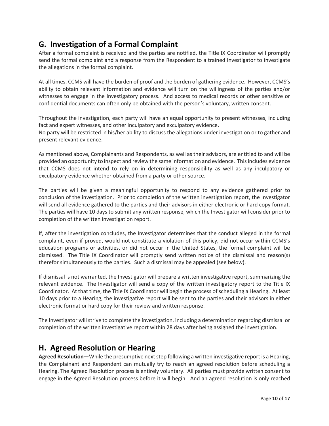## <span id="page-10-0"></span>**G. Investigation of a Formal Complaint**

After a formal complaint is received and the parties are notified, the Title IX Coordinator will promptly send the formal complaint and a response from the Respondent to a trained Investigator to investigate the allegations in the formal complaint.

At all times, CCMS will have the burden of proof and the burden of gathering evidence. However, CCMS's ability to obtain relevant information and evidence will turn on the willingness of the parties and/or witnesses to engage in the investigatory process. And access to medical records or other sensitive or confidential documents can often only be obtained with the person's voluntary, written consent.

Throughout the investigation, each party will have an equal opportunity to present witnesses, including fact and expert witnesses, and other inculpatory and exculpatory evidence.

No party will be restricted in his/her ability to discuss the allegations under investigation or to gather and present relevant evidence.

As mentioned above, Complainants and Respondents, as well as their advisors, are entitled to and will be provided an opportunity to inspect and review the same information and evidence. This includes evidence that CCMS does not intend to rely on in determining responsibility as well as any inculpatory or exculpatory evidence whether obtained from a party or other source.

The parties will be given a meaningful opportunity to respond to any evidence gathered prior to conclusion of the investigation. Prior to completion of the written investigation report, the Investigator will send all evidence gathered to the parties and their advisors in either electronic or hard copy format. The parties will have 10 days to submit any written response, which the Investigator will consider prior to completion of the written investigation report.

If, after the investigation concludes, the Investigator determines that the conduct alleged in the formal complaint, even if proved, would not constitute a violation of this policy, did not occur within CCMS's education programs or activities, or did not occur in the United States, the formal complaint will be dismissed. The Title IX Coordinator will promptly send written notice of the dismissal and reason(s) therefor simultaneously to the parties. Such a dismissal may be appealed (see below).

If dismissal is not warranted, the Investigator will prepare a written investigative report, summarizing the relevant evidence. The Investigator will send a copy of the written investigatory report to the Title IX Coordinator. At that time, the Title IX Coordinator will begin the process of scheduling a Hearing. At least 10 days prior to a Hearing, the investigative report will be sent to the parties and their advisors in either electronic format or hard copy for their review and written response.

The Investigator will strive to complete the investigation, including a determination regarding dismissal or completion of the written investigative report within 28 days after being assigned the investigation.

## <span id="page-10-1"></span>**H. Agreed Resolution or Hearing**

**Agreed Resolution**—While the presumptive next step following a written investigative report is a Hearing, the Complainant and Respondent can mutually try to reach an agreed resolution before scheduling a Hearing. The Agreed Resolution process is entirely voluntary. All parties must provide written consent to engage in the Agreed Resolution process before it will begin. And an agreed resolution is only reached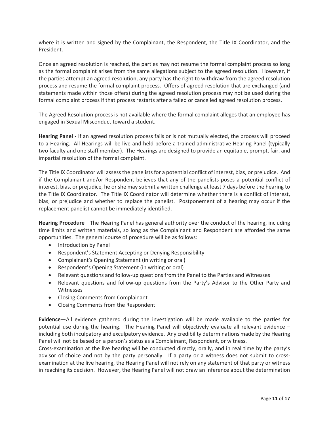where it is written and signed by the Complainant, the Respondent, the Title IX Coordinator, and the President.

Once an agreed resolution is reached, the parties may not resume the formal complaint process so long as the formal complaint arises from the same allegations subject to the agreed resolution. However, if the parties attempt an agreed resolution, any party has the right to withdraw from the agreed resolution process and resume the formal complaint process. Offers of agreed resolution that are exchanged (and statements made within those offers) during the agreed resolution process may not be used during the formal complaint process if that process restarts after a failed or cancelled agreed resolution process.

The Agreed Resolution process is not available where the formal complaint alleges that an employee has engaged in Sexual Misconduct toward a student.

**Hearing Panel -** If an agreed resolution process fails or is not mutually elected, the process will proceed to a Hearing. All Hearings will be live and held before a trained administrative Hearing Panel (typically two faculty and one staff member). The Hearings are designed to provide an equitable, prompt, fair, and impartial resolution of the formal complaint.

The Title IX Coordinator will assess the panelists for a potential conflict of interest, bias, or prejudice. And if the Complainant and/or Respondent believes that any of the panelists poses a potential conflict of interest, bias, or prejudice, he or she may submit a written challenge at least 7 days before the hearing to the Title IX Coordinator. The Title IX Coordinator will determine whether there is a conflict of interest, bias, or prejudice and whether to replace the panelist. Postponement of a hearing may occur if the replacement panelist cannot be immediately identified.

**Hearing Procedure**—The Hearing Panel has general authority over the conduct of the hearing, including time limits and written materials, so long as the Complainant and Respondent are afforded the same opportunities. The general course of procedure will be as follows:

- Introduction by Panel
- Respondent's Statement Accepting or Denying Responsibility
- Complainant's Opening Statement (in writing or oral)
- Respondent's Opening Statement (in writing or oral)
- Relevant questions and follow-up questions from the Panel to the Parties and Witnesses
- Relevant questions and follow-up questions from the Party's Advisor to the Other Party and Witnesses
- Closing Comments from Complainant
- Closing Comments from the Respondent

**Evidence**—All evidence gathered during the investigation will be made available to the parties for potential use during the hearing. The Hearing Panel will objectively evaluate all relevant evidence – including both inculpatory and exculpatory evidence. Any credibility determinations made by the Hearing Panel will not be based on a person's status as a Complainant, Respondent, or witness.

Cross-examination at the live hearing will be conducted directly, orally, and in real time by the party's advisor of choice and not by the party personally. If a party or a witness does not submit to crossexamination at the live hearing, the Hearing Panel will not rely on any statement of that party or witness in reaching its decision. However, the Hearing Panel will not draw an inference about the determination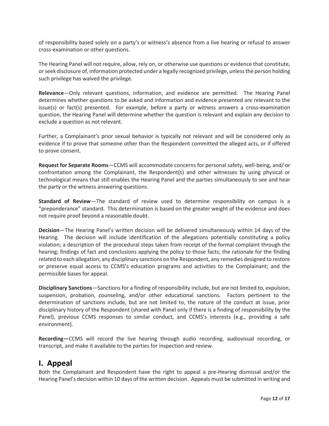of responsibility based solely on a party's or witness's absence from a live hearing or refusal to answer cross-examination or other questions.

The Hearing Panel will not require, allow, rely on, or otherwise use questions or evidence that constitute, or seek disclosure of, information protected under a legally recognized privilege, unless the person holding such privilege has waived the privilege.

**Relevance**—Only relevant questions, information, and evidence are permitted. The Hearing Panel determines whether questions to be asked and information and evidence presented are relevant to the issue(s) or fact(s) presented. For example, before a party or witness answers a cross-examination question, the Hearing Panel will determine whether the question is relevant and explain any decision to exclude a question as not relevant.

Further, a Complainant's prior sexual behavior is typically not relevant and will be considered only as evidence if to prove that someone other than the Respondent committed the alleged acts, or if offered to prove consent.

**Request for Separate Rooms**—CCMS will accommodate concerns for personal safety, well-being, and/ or confrontation among the Complainant, the Respondent(s) and other witnesses by using physical or technological means that still enables the Hearing Panel and the parties simultaneously to see and hear the party or the witness answering questions.

**Standard of Review**—The standard of review used to determine responsibility on campus is a "preponderance" standard. This determination is based on the greater weight of the evidence and does not require proof beyond a reasonable doubt.

**Decision**—The Hearing Panel's written decision will be delivered simultaneously within 14 days of the Hearing. The decision will include identification of the allegations potentially constituting a policy violation; a description of the procedural steps taken from receipt of the formal complaint through the hearing; findings of fact and conclusions applying the policy to those facts; the rationale for the finding related to each allegation; any disciplinary sanctions on the Respondent, any remedies designed to restore or preserve equal access to CCMS's education programs and activities to the Complainant; and the permissible bases for appeal.

**Disciplinary Sanctions**—Sanctions for a finding of responsibility include, but are not limited to, expulsion, suspension, probation, counseling, and/or other educational sanctions. Factors pertinent to the determination of sanctions include, but are not limited to, the nature of the conduct at issue, prior disciplinary history of the Respondent (shared with Panel only if there is a finding of responsibility by the Panel), previous CCMS responses to similar conduct, and CCMS's interests (e.g., providing a safe environment).

**Recording—**CCMS will record the live hearing through audio recording, audiovisual recording, or transcript, and make it available to the parties for inspection and review.

## <span id="page-12-0"></span>**I. Appeal**

Both the Complainant and Respondent have the right to appeal a pre-Hearing dismissal and/or the Hearing Panel's decision within 10 days of the written decision. Appeals must be submitted in writing and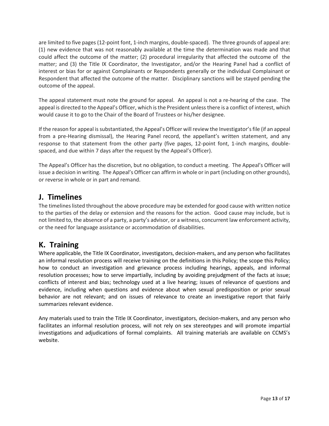are limited to five pages (12-point font, 1-inch margins, double-spaced). The three grounds of appeal are: (1) new evidence that was not reasonably available at the time the determination was made and that could affect the outcome of the matter; (2) procedural irregularity that affected the outcome of the matter; and (3) the Title IX Coordinator, the Investigator, and/or the Hearing Panel had a conflict of interest or bias for or against Complainants or Respondents generally or the individual Complainant or Respondent that affected the outcome of the matter. Disciplinary sanctions will be stayed pending the outcome of the appeal.

The appeal statement must note the ground for appeal. An appeal is not a re-hearing of the case. The appeal is directed to the Appeal's Officer, which is the President unless there is a conflict of interest, which would cause it to go to the Chair of the Board of Trustees or his/her designee.

If the reason for appeal is substantiated, the Appeal's Officer will review the Investigator's file (if an appeal from a pre-Hearing dismissal), the Hearing Panel record, the appellant's written statement, and any response to that statement from the other party (five pages, 12-point font, 1-inch margins, doublespaced, and due within 7 days after the request by the Appeal's Officer).

The Appeal's Officer has the discretion, but no obligation, to conduct a meeting. The Appeal's Officer will issue a decision in writing. The Appeal's Officer can affirm in whole or in part (including on other grounds), or reverse in whole or in part and remand.

## <span id="page-13-0"></span>**J. Timelines**

The timelines listed throughout the above procedure may be extended for good cause with written notice to the parties of the delay or extension and the reasons for the action. Good cause may include, but is not limited to, the absence of a party, a party's advisor, or a witness, concurrent law enforcement activity, or the need for language assistance or accommodation of disabilities.

## <span id="page-13-1"></span>**K. Training**

Where applicable, the Title IX Coordinator, investigators, decision-makers, and any person who facilitates an informal resolution process will receive training on the definitions in this Policy; the scope this Policy; how to conduct an investigation and grievance process including hearings, appeals, and informal resolution processes; how to serve impartially, including by avoiding prejudgment of the facts at issue; conflicts of interest and bias; technology used at a live hearing; issues of relevance of questions and evidence, including when questions and evidence about when sexual predisposition or prior sexual behavior are not relevant; and on issues of relevance to create an investigative report that fairly summarizes relevant evidence.

Any materials used to train the Title IX Coordinator, investigators, decision-makers, and any person who facilitates an informal resolution process, will not rely on sex stereotypes and will promote impartial investigations and adjudications of formal complaints. All training materials are available on CCMS's website.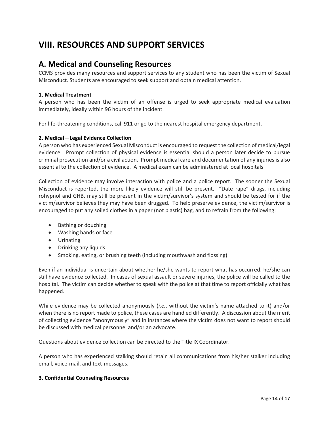## <span id="page-14-0"></span>**VIII. RESOURCES AND SUPPORT SERVICES**

### <span id="page-14-1"></span>**A. Medical and Counseling Resources**

CCMS provides many resources and support services to any student who has been the victim of Sexual Misconduct. Students are encouraged to seek support and obtain medical attention.

#### **1. Medical Treatment**

A person who has been the victim of an offense is urged to seek appropriate medical evaluation immediately, ideally within 96 hours of the incident.

For life-threatening conditions, call 911 or go to the nearest hospital emergency department.

#### **2. Medical—Legal Evidence Collection**

A person who has experienced Sexual Misconduct is encouraged to request the collection of medical/legal evidence. Prompt collection of physical evidence is essential should a person later decide to pursue criminal prosecution and/or a civil action. Prompt medical care and documentation of any injuries is also essential to the collection of evidence. A medical exam can be administered at local hospitals.

Collection of evidence may involve interaction with police and a police report. The sooner the Sexual Misconduct is reported, the more likely evidence will still be present. "Date rape" drugs, including rohypnol and GHB, may still be present in the victim/survivor's system and should be tested for if the victim/survivor believes they may have been drugged. To help preserve evidence, the victim/survivor is encouraged to put any soiled clothes in a paper (not plastic) bag, and to refrain from the following:

- Bathing or douching
- Washing hands or face
- Urinating
- Drinking any liquids
- Smoking, eating, or brushing teeth (including mouthwash and flossing)

Even if an individual is uncertain about whether he/she wants to report what has occurred, he/she can still have evidence collected. In cases of sexual assault or severe injuries, the police will be called to the hospital. The victim can decide whether to speak with the police at that time to report officially what has happened.

While evidence may be collected anonymously (*i.e.*, without the victim's name attached to it) and/or when there is no report made to police, these cases are handled differently. A discussion about the merit of collecting evidence "anonymously" and in instances where the victim does not want to report should be discussed with medical personnel and/or an advocate.

Questions about evidence collection can be directed to the Title IX Coordinator.

A person who has experienced stalking should retain all communications from his/her stalker including email, voice-mail, and text-messages.

#### **3. Confidential Counseling Resources**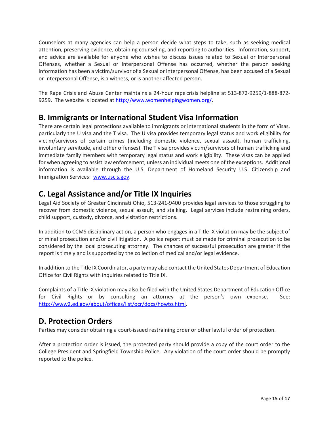Counselors at many agencies can help a person decide what steps to take, such as seeking medical attention, preserving evidence, obtaining counseling, and reporting to authorities. Information, support, and advice are available for anyone who wishes to discuss issues related to Sexual or Interpersonal Offenses, whether a Sexual or Interpersonal Offense has occurred, whether the person seeking information has been a victim/survivor of a Sexual or Interpersonal Offense, has been accused of a Sexual or Interpersonal Offense, is a witness, or is another affected person.

The Rape Crisis and Abuse Center maintains a 24-hour rape crisis helpline at 513-872-9259/1-888-872 9259. The website is located at [http://www.womenhelpingwomen.org/.](http://www.womenhelpingwomen.org/)

## <span id="page-15-0"></span>**B. Immigrants or International Student Visa Information**

There are certain legal protections available to immigrants or international students in the form of Visas, particularly the U visa and the T visa. The U visa provides temporary legal status and work eligibility for victim/survivors of certain crimes (including domestic violence, sexual assault, human trafficking, involuntary servitude, and other offenses). The T visa provides victim/survivors of human trafficking and immediate family members with temporary legal status and work eligibility. These visas can be applied for when agreeing to assist law enforcement, unless an individual meets one of the exceptions. Additional information is available through the U.S. Department of Homeland Security U.S. Citizenship and Immigration Services: [www.uscis.gov.](http://www.uscis.gov/)

## <span id="page-15-1"></span>**C. Legal Assistance and/or Title IX Inquiries**

Legal Aid Society of Greater Cincinnati Ohio, 513-241-9400 provides legal services to those struggling to recover from domestic violence, sexual assault, and stalking. Legal services include restraining orders, child support, custody, divorce, and visitation restrictions.

In addition to CCMS disciplinary action, a person who engages in a Title IX violation may be the subject of criminal prosecution and/or civil litigation. A police report must be made for criminal prosecution to be considered by the local prosecuting attorney. The chances of successful prosecution are greater if the report is timely and is supported by the collection of medical and/or legal evidence.

In addition to the Title IX Coordinator, a party may also contact the United States Department of Education Office for Civil Rights with inquiries related to Title IX.

Complaints of a Title IX violation may also be filed with the United States Department of Education Office for Civil Rights or by consulting an attorney at the person's own expense. See: [http://www2.ed.gov/about/offices/list/ocr/docs/howto.html.](http://www2.ed.gov/about/offices/list/ocr/docs/howto.html)

## <span id="page-15-2"></span>**D. Protection Orders**

Parties may consider obtaining a court-issued restraining order or other lawful order of protection.

After a protection order is issued, the protected party should provide a copy of the court order to the College President and Springfield Township Police. Any violation of the court order should be promptly reported to the police.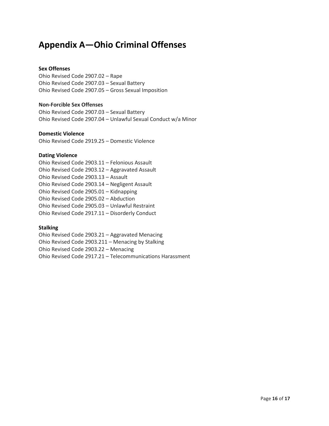## <span id="page-16-0"></span>**Appendix A—Ohio Criminal Offenses**

#### **Sex Offenses**

Ohio Revised Code 2907.02 – Rape Ohio Revised Code 2907.03 – Sexual Battery Ohio Revised Code 2907.05 – Gross Sexual Imposition

#### **Non-Forcible Sex Offenses**

Ohio Revised Code 2907.03 – Sexual Battery Ohio Revised Code 2907.04 – Unlawful Sexual Conduct w/a Minor

#### **Domestic Violence**

Ohio Revised Code 2919.25 – Domestic Violence

#### **Dating Violence**

Ohio Revised Code 2903.11 – Felonious Assault Ohio Revised Code 2903.12 – Aggravated Assault Ohio Revised Code 2903.13 – Assault Ohio Revised Code 2903.14 – Negligent Assault Ohio Revised Code 2905.01 – Kidnapping Ohio Revised Code 2905.02 – Abduction Ohio Revised Code 2905.03 – Unlawful Restraint Ohio Revised Code 2917.11 – Disorderly Conduct

#### **Stalking**

Ohio Revised Code 2903.21 – Aggravated Menacing Ohio Revised Code 2903.211 – Menacing by Stalking Ohio Revised Code 2903.22 – Menacing Ohio Revised Code 2917.21 – Telecommunications Harassment